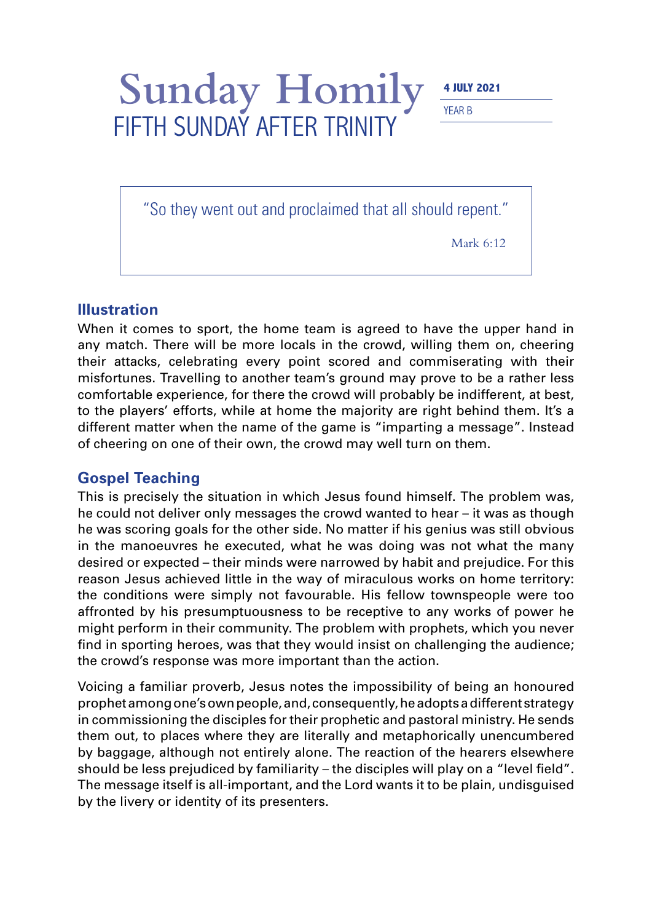Sunday Homily **4 JULY 2021** 

YEAR B

"So they went out and proclaimed that all should repent."

FIFTH SUNDAY AFTER TRINITY

Mark 6:12

## **Illustration**

When it comes to sport, the home team is agreed to have the upper hand in any match. There will be more locals in the crowd, willing them on, cheering their attacks, celebrating every point scored and commiserating with their misfortunes. Travelling to another team's ground may prove to be a rather less comfortable experience, for there the crowd will probably be indifferent, at best, to the players' efforts, while at home the majority are right behind them. It's a different matter when the name of the game is "imparting a message". Instead of cheering on one of their own, the crowd may well turn on them.

## **Gospel Teaching**

This is precisely the situation in which Jesus found himself. The problem was, he could not deliver only messages the crowd wanted to hear – it was as though he was scoring goals for the other side. No matter if his genius was still obvious in the manoeuvres he executed, what he was doing was not what the many desired or expected – their minds were narrowed by habit and prejudice. For this reason Jesus achieved little in the way of miraculous works on home territory: the conditions were simply not favourable. His fellow townspeople were too affronted by his presumptuousness to be receptive to any works of power he might perform in their community. The problem with prophets, which you never find in sporting heroes, was that they would insist on challenging the audience; the crowd's response was more important than the action.

Voicing a familiar proverb, Jesus notes the impossibility of being an honoured prophet among one's own people, and, consequently, he adopts a different strategy in commissioning the disciples for their prophetic and pastoral ministry. He sends them out, to places where they are literally and metaphorically unencumbered by baggage, although not entirely alone. The reaction of the hearers elsewhere should be less prejudiced by familiarity – the disciples will play on a "level field". The message itself is all-important, and the Lord wants it to be plain, undisguised by the livery or identity of its presenters.